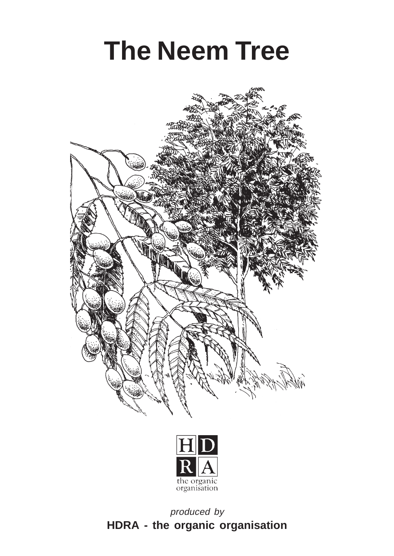# **The Neem Tree**





produced by **HDRA - the organic organisation**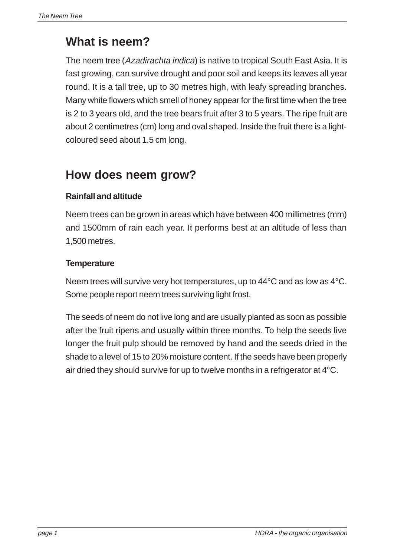# **What is neem?**

The neem tree (Azadirachta indica) is native to tropical South East Asia. It is fast growing, can survive drought and poor soil and keeps its leaves all year round. It is a tall tree, up to 30 metres high, with leafy spreading branches. Many white flowers which smell of honey appear for the first time when the tree is 2 to 3 years old, and the tree bears fruit after 3 to 5 years. The ripe fruit are about 2 centimetres (cm) long and oval shaped. Inside the fruit there is a lightcoloured seed about 1.5 cm long.

# **How does neem grow?**

# **Rainfall and altitude**

Neem trees can be grown in areas which have between 400 millimetres (mm) and 1500mm of rain each year. It performs best at an altitude of less than 1,500 metres.

## **Temperature**

Neem trees will survive very hot temperatures, up to 44°C and as low as 4°C. Some people report neem trees surviving light frost.

The seeds of neem do not live long and are usually planted as soon as possible after the fruit ripens and usually within three months. To help the seeds live longer the fruit pulp should be removed by hand and the seeds dried in the shade to a level of 15 to 20% moisture content. If the seeds have been properly air dried they should survive for up to twelve months in a refrigerator at 4°C.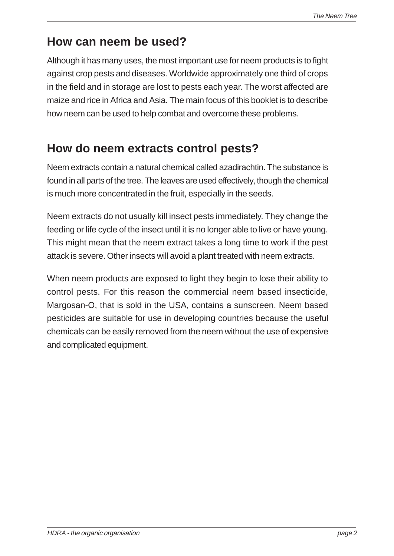# **How can neem be used?**

Although it has many uses, the most important use for neem products is to fight against crop pests and diseases. Worldwide approximately one third of crops in the field and in storage are lost to pests each year. The worst affected are maize and rice in Africa and Asia. The main focus of this booklet is to describe how neem can be used to help combat and overcome these problems.

# **How do neem extracts control pests?**

Neem extracts contain a natural chemical called azadirachtin. The substance is found in all parts of the tree. The leaves are used effectively, though the chemical is much more concentrated in the fruit, especially in the seeds.

Neem extracts do not usually kill insect pests immediately. They change the feeding or life cycle of the insect until it is no longer able to live or have young. This might mean that the neem extract takes a long time to work if the pest attack is severe. Other insects will avoid a plant treated with neem extracts.

When neem products are exposed to light they begin to lose their ability to control pests. For this reason the commercial neem based insecticide, Margosan-O, that is sold in the USA, contains a sunscreen. Neem based pesticides are suitable for use in developing countries because the useful chemicals can be easily removed from the neem without the use of expensive and complicated equipment.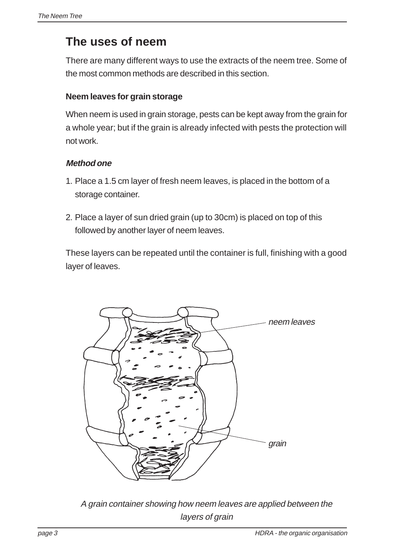# **The uses of neem**

There are many different ways to use the extracts of the neem tree. Some of the most common methods are described in this section.

## **Neem leaves for grain storage**

When neem is used in grain storage, pests can be kept away from the grain for a whole year; but if the grain is already infected with pests the protection will not work.

#### **Method one**

- 1. Place a 1.5 cm layer of fresh neem leaves, is placed in the bottom of a storage container.
- 2. Place a layer of sun dried grain (up to 30cm) is placed on top of this followed by another layer of neem leaves.

These layers can be repeated until the container is full, finishing with a good layer of leaves.



A grain container showing how neem leaves are applied between the layers of grain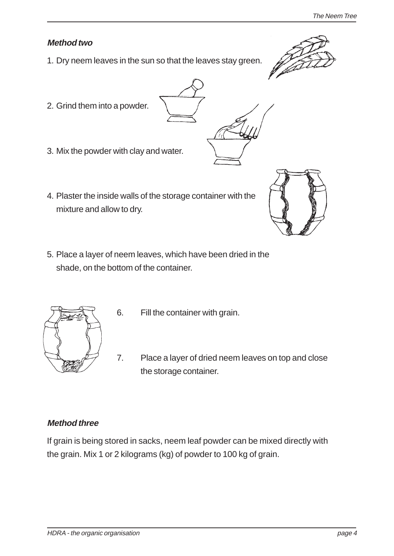## **Method two**

- 1. Dry neem leaves in the sun so that the leaves stay green.
- 2. Grind them into a powder.
- 
- 3. Mix the powder with clay and water.
- 4. Plaster the inside walls of the storage container with the mixture and allow to dry.
- 5. Place a layer of neem leaves, which have been dried in the shade, on the bottom of the container.



- 6. Fill the container with grain.
- 7. Place a layer of dried neem leaves on top and close the storage container.

# **Method three**

If grain is being stored in sacks, neem leaf powder can be mixed directly with the grain. Mix 1 or 2 kilograms (kg) of powder to 100 kg of grain.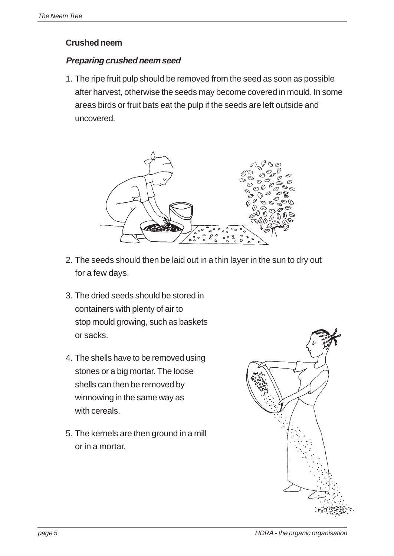## **Crushed neem**

## **Preparing crushed neem seed**

1. The ripe fruit pulp should be removed from the seed as soon as possible after harvest, otherwise the seeds may become covered in mould. In some areas birds or fruit bats eat the pulp if the seeds are left outside and uncovered.



- 2. The seeds should then be laid out in a thin layer in the sun to dry out for a few days.
- 3. The dried seeds should be stored in containers with plenty of air to stop mould growing, such as baskets or sacks.
- 4. The shells have to be removed using stones or a big mortar. The loose shells can then be removed by winnowing in the same way as with cereals.
- 5. The kernels are then ground in a mill or in a mortar.

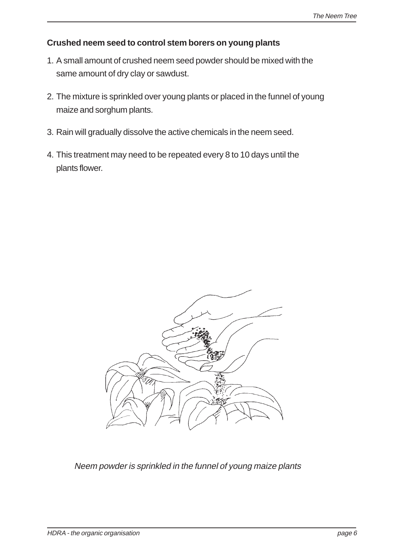## **Crushed neem seed to control stem borers on young plants**

- 1. A small amount of crushed neem seed powder should be mixed with the same amount of dry clay or sawdust.
- 2. The mixture is sprinkled over young plants or placed in the funnel of young maize and sorghum plants.
- 3. Rain will gradually dissolve the active chemicals in the neem seed.
- 4. This treatment may need to be repeated every 8 to 10 days until the plants flower.



Neem powder is sprinkled in the funnel of young maize plants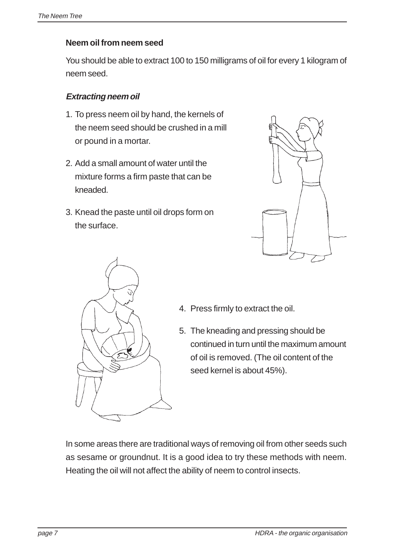## **Neem oil from neem seed**

You should be able to extract 100 to 150 milligrams of oil for every 1 kilogram of neem seed.

#### **Extracting neem oil**

- 1. To press neem oil by hand, the kernels of the neem seed should be crushed in a mill or pound in a mortar.
- 2. Add a small amount of water until the mixture forms a firm paste that can be kneaded.
- 3. Knead the paste until oil drops form on the surface.





- 4. Press firmly to extract the oil.
- 5. The kneading and pressing should be continued in turn until the maximum amount of oil is removed. (The oil content of the seed kernel is about 45%).

In some areas there are traditional ways of removing oil from other seeds such as sesame or groundnut. It is a good idea to try these methods with neem. Heating the oil will not affect the ability of neem to control insects.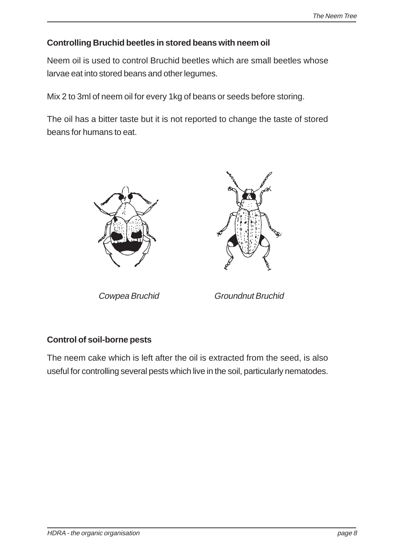## **Controlling Bruchid beetles in stored beans with neem oil**

Neem oil is used to control Bruchid beetles which are small beetles whose larvae eat into stored beans and other legumes.

Mix 2 to 3ml of neem oil for every 1kg of beans or seeds before storing.

The oil has a bitter taste but it is not reported to change the taste of stored beans for humans to eat.





Cowpea Bruchid Groundnut Bruchid

# **Control of soil-borne pests**

The neem cake which is left after the oil is extracted from the seed, is also useful for controlling several pests which live in the soil, particularly nematodes.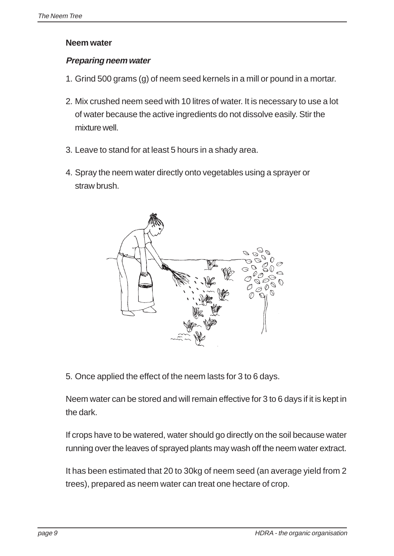#### **Neem water**

#### **Preparing neem water**

- 1. Grind 500 grams (g) of neem seed kernels in a mill or pound in a mortar.
- 2. Mix crushed neem seed with 10 litres of water. It is necessary to use a lot of water because the active ingredients do not dissolve easily. Stir the mixture well.
- 3. Leave to stand for at least 5 hours in a shady area.
- 4. Spray the neem water directly onto vegetables using a sprayer or straw brush.



5. Once applied the effect of the neem lasts for 3 to 6 days.

Neem water can be stored and will remain effective for 3 to 6 days if it is kept in the dark.

If crops have to be watered, water should go directly on the soil because water running over the leaves of sprayed plants may wash off the neem water extract.

It has been estimated that 20 to 30kg of neem seed (an average yield from 2 trees), prepared as neem water can treat one hectare of crop.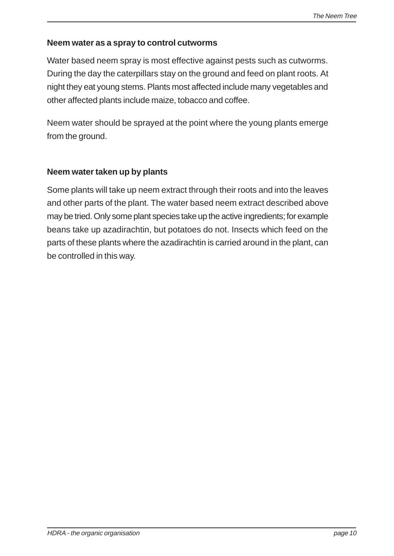## **Neem water as a spray to control cutworms**

Water based neem spray is most effective against pests such as cutworms. During the day the caterpillars stay on the ground and feed on plant roots. At night they eat young stems. Plants most affected include many vegetables and other affected plants include maize, tobacco and coffee.

Neem water should be sprayed at the point where the young plants emerge from the ground.

## **Neem water taken up by plants**

Some plants will take up neem extract through their roots and into the leaves and other parts of the plant. The water based neem extract described above may be tried. Only some plant species take up the active ingredients; for example beans take up azadirachtin, but potatoes do not. Insects which feed on the parts of these plants where the azadirachtin is carried around in the plant, can be controlled in this way.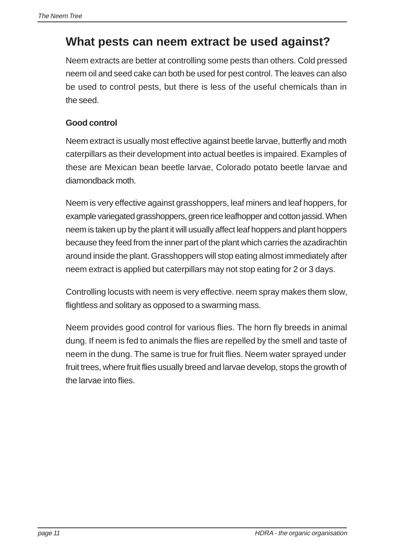# **What pests can neem extract be used against?**

Neem extracts are better at controlling some pests than others. Cold pressed neem oil and seed cake can both be used for pest control. The leaves can also be used to control pests, but there is less of the useful chemicals than in the seed.

## **Good control**

Neem extract is usually most effective against beetle larvae, butterfly and moth caterpillars as their development into actual beetles is impaired. Examples of these are Mexican bean beetle larvae, Colorado potato beetle larvae and diamondback moth.

Neem is very effective against grasshoppers, leaf miners and leaf hoppers, for example variegated grasshoppers, green rice leafhopper and cotton jassid. When neem is taken up by the plant it will usually affect leaf hoppers and plant hoppers because they feed from the inner part of the plant which carries the azadirachtin around inside the plant. Grasshoppers will stop eating almost immediately after neem extract is applied but caterpillars may not stop eating for 2 or 3 days.

Controlling locusts with neem is very effective. neem spray makes them slow, flightless and solitary as opposed to a swarming mass.

Neem provides good control for various flies. The horn fly breeds in animal dung. If neem is fed to animals the flies are repelled by the smell and taste of neem in the dung. The same is true for fruit flies. Neem water sprayed under fruit trees, where fruit flies usually breed and larvae develop, stops the growth of the larvae into flies.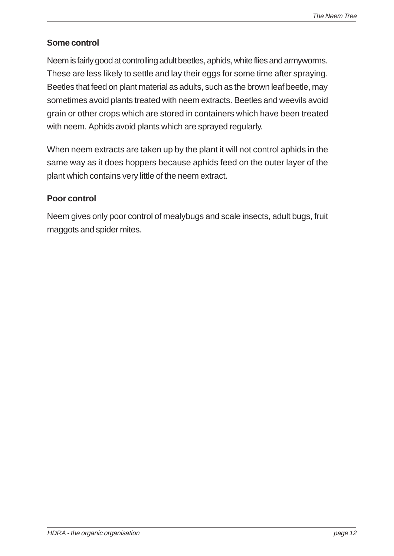## **Some control**

Neem is fairly good at controlling adult beetles, aphids, white flies and armyworms. These are less likely to settle and lay their eggs for some time after spraying. Beetles that feed on plant material as adults, such as the brown leaf beetle, may sometimes avoid plants treated with neem extracts. Beetles and weevils avoid grain or other crops which are stored in containers which have been treated with neem. Aphids avoid plants which are sprayed regularly.

When neem extracts are taken up by the plant it will not control aphids in the same way as it does hoppers because aphids feed on the outer layer of the plant which contains very little of the neem extract.

## **Poor control**

Neem gives only poor control of mealybugs and scale insects, adult bugs, fruit maggots and spider mites.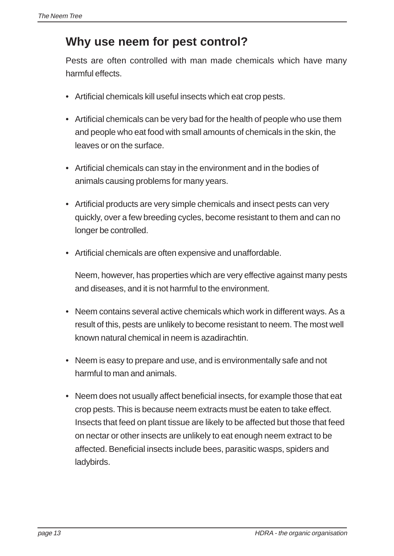# **Why use neem for pest control?**

Pests are often controlled with man made chemicals which have many harmful effects.

- Artificial chemicals kill useful insects which eat crop pests.
- Artificial chemicals can be very bad for the health of people who use them and people who eat food with small amounts of chemicals in the skin, the leaves or on the surface.
- Artificial chemicals can stay in the environment and in the bodies of animals causing problems for many years.
- Artificial products are very simple chemicals and insect pests can very quickly, over a few breeding cycles, become resistant to them and can no longer be controlled.
- Artificial chemicals are often expensive and unaffordable.

Neem, however, has properties which are very effective against many pests and diseases, and it is not harmful to the environment.

- Neem contains several active chemicals which work in different ways. As a result of this, pests are unlikely to become resistant to neem. The most well known natural chemical in neem is azadirachtin.
- Neem is easy to prepare and use, and is environmentally safe and not harmful to man and animals.
- Neem does not usually affect beneficial insects, for example those that eat crop pests. This is because neem extracts must be eaten to take effect. Insects that feed on plant tissue are likely to be affected but those that feed on nectar or other insects are unlikely to eat enough neem extract to be affected. Beneficial insects include bees, parasitic wasps, spiders and ladybirds.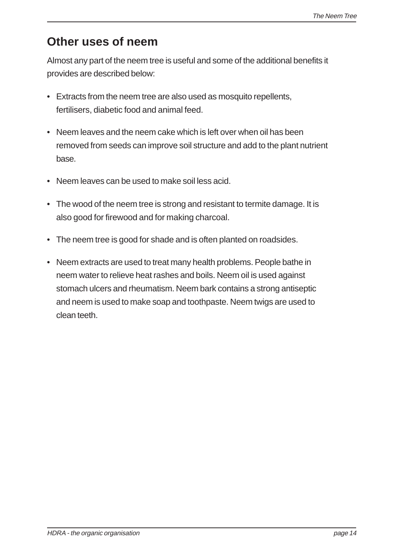# **Other uses of neem**

Almost any part of the neem tree is useful and some of the additional benefits it provides are described below:

- Extracts from the neem tree are also used as mosquito repellents, fertilisers, diabetic food and animal feed.
- Neem leaves and the neem cake which is left over when oil has been removed from seeds can improve soil structure and add to the plant nutrient base.
- Neem leaves can be used to make soil less acid.
- The wood of the neem tree is strong and resistant to termite damage. It is also good for firewood and for making charcoal.
- The neem tree is good for shade and is often planted on roadsides.
- Neem extracts are used to treat many health problems. People bathe in neem water to relieve heat rashes and boils. Neem oil is used against stomach ulcers and rheumatism. Neem bark contains a strong antiseptic and neem is used to make soap and toothpaste. Neem twigs are used to clean teeth.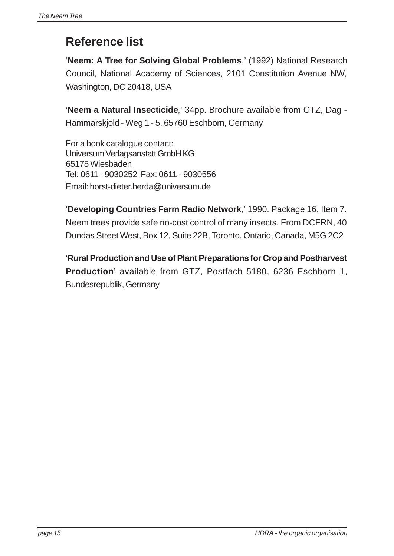# **Reference list**

'**Neem: A Tree for Solving Global Problems**,' (1992) National Research Council, National Academy of Sciences, 2101 Constitution Avenue NW, Washington, DC 20418, USA

'**Neem a Natural Insecticide**,' 34pp. Brochure available from GTZ, Dag - Hammarskjold - Weg 1 - 5, 65760 Eschborn, Germany

For a book catalogue contact: Universum Verlagsanstatt GmbH KG 65175 Wiesbaden Tel: 0611 - 9030252 Fax: 0611 - 9030556 Email: horst-dieter.herda@universum.de

'**Developing Countries Farm Radio Network**,' 1990. Package 16, Item 7. Neem trees provide safe no-cost control of many insects. From DCFRN, 40 Dundas Street West, Box 12, Suite 22B, Toronto, Ontario, Canada, M5G 2C2

'**Rural Production and Use of Plant Preparations for Crop and Postharvest Production**' available from GTZ, Postfach 5180, 6236 Eschborn 1, Bundesrepublik, Germany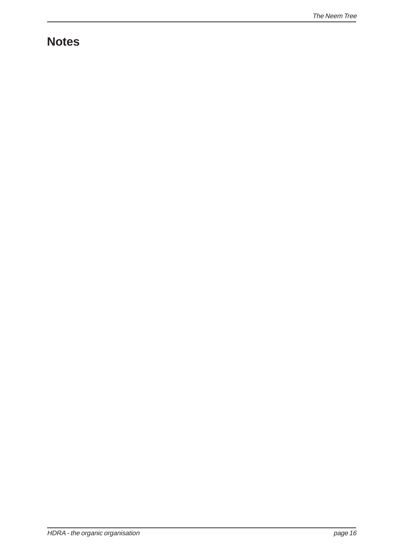# **Notes**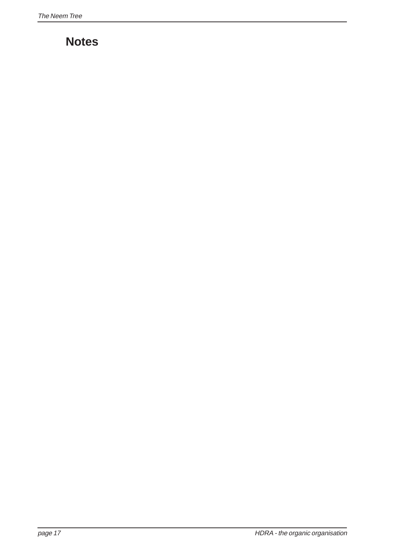# **Notes**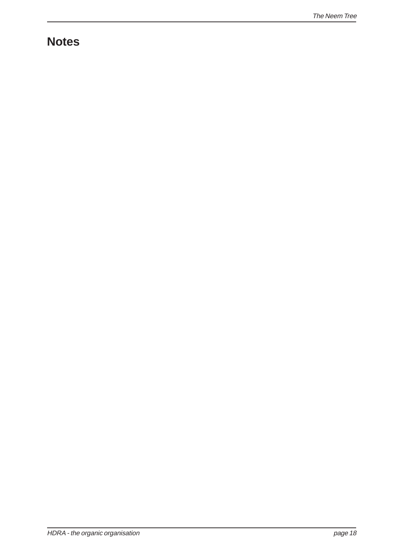# **Notes**